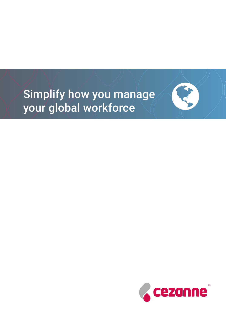# Simplify how you manage your global workforce

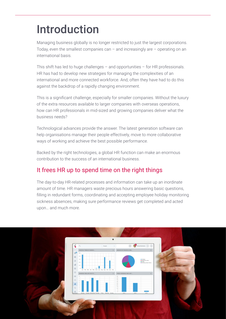# Introduction

Managing business globally is no longer restricted to just the largest corporations. Today, even the smallest companies can  $-$  and increasingly are  $-$  operating on an international basis.

This shift has led to huge challenges – and opportunities – for HR professionals. HR has had to develop new strategies for managing the complexities of an international and more connected workforce. And, often they have had to do this against the backdrop of a rapidly changing environment.

This is a significant challenge, especially for smaller companies. Without the luxury of the extra resources available to larger companies with overseas operations, how can HR professionals in mid-sized and growing companies deliver what the business needs?

Technological advances provide the answer. The latest generation software can help organisations manage their people effectively, move to more collaborative ways of working and achieve the best possible performance.

Backed by the right technologies, a global HR function can make an enormous contribution to the success of an international business.

## It frees HR up to spend time on the right things

The day-to-day HR-related processes and information can take up an inordinate amount of time. HR managers waste precious hours answering basic questions, filling in redundant forms, coordinating and accepting employee holiday monitoring sickness absences, making sure performance reviews get completed and acted upon… and much more.

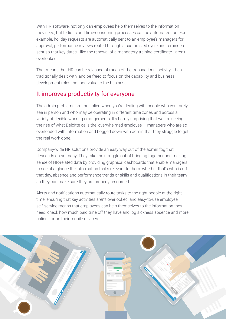With HR software, not only can employees help themselves to the information they need, but tedious and time-consuming processes can be automated too. For example, holiday requests are automatically sent to an employee's managers for approval; performance reviews routed through a customized cycle and reminders sent so that key dates - like the renewal of a mandatory training certificate - aren't overlooked.

That means that HR can be released of much of the transactional activity it has traditionally dealt with, and be freed to focus on the capability and business development roles that add value to the business.

#### It improves productivity for everyone

The admin problems are multiplied when you're dealing with people who you rarely see in person and who may be operating in different time zones and across a variety of flexible working arrangements. It's hardly surprising that we are seeing the rise of what Deloitte calls the 'overwhelmed employee' – managers who are so overloaded with information and bogged down with admin that they struggle to get the real work done.

Company-wide HR solutions provide an easy way out of the admin fog that descends on so many. They take the struggle out of bringing together and making sense of HR-related data by providing graphical dashboards that enable managers to see at a glance the information that's relevant to them: whether that's who is off that day, absence and performance trends or skills and qualifications in their team so they can make sure they are properly resourced.

Alerts and notifications automatically route tasks to the right people at the right time, ensuring that key activities aren't overlooked; and easy-to-use employee self-service means that employees can help themselves to the information they need, check how much paid time off they have and log sickness absence and more online - or on their mobile devices.

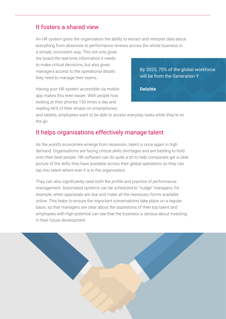### It fosters a shared view

An HR system gives the organisation the ability to extract and interpret data about everything from absences to performance reviews across the whole business in

a simple, consistent way. This not only gives the board the real-time information it needs to make critical decisions, but also gives managers access to the operational details they need to manage their teams.

Having your HR system accessible via mobile app makes this even easier. With people now looking at their phones 150 times a day and reading 66% of their emails on smartphones

By 2025, 75% of the global workforce will be from the Generation Y

**Deloitte**

and tablets, employees want to be able to access everyday tasks while they're on the go.

#### It helps organisations effectively manage talent

As the world's economies emerge from recession, talent is once again in high demand. Organisations are facing critical skills shortages and are battling to hold onto their best people. HR software can do quite a bit to help companies get a clear picture of the skills they have available across their global operations so they can tap into talent where ever it is in the organisation.

They can also significantly raise both the profile and practice of performance management. Automated systems can be scheduled to "nudge" managers, for example, when appraisals are due and make all the necessary forms available online. This helps to ensure the important conversations take place on a regular basis, so that managers are clear about the aspirations of their top talent and employees with high-potential can see that the business is serious about investing in their future development.

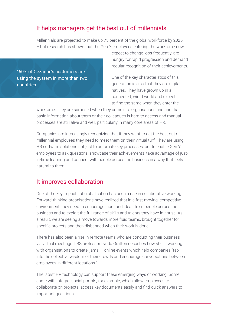## It helps managers get the best out of millennials

Millennials are projected to make up 75 percent of the global workforce by 2025 – but research has shown that the Gen Y employees entering the workforce now

"60% of Cezanne's customers are using the system in more than two countries

expect to change jobs frequently, are hungry for rapid progression and demand regular recognition of their achievements.

One of the key characteristics of this generation is also that they are digital natives. They have grown up in a connected, wired world and expect to find the same when they enter the

workforce. They are surprised when they come into organsations and find that basic information about them or their colleagues is hard to access and manual processes are still alive and well, particularly in many core areas of HR.

Companies are increasingly recognizing that if they want to get the best out of millennial employees they need to meet them on their virtual turf. They are using HR software solutions not just to automate key processes, but to enable Gen Y employees to ask questions, showcase their achievements, take advantage of justin-time learning and connect with people across the business in a way that feels natural to them.

#### It improves collaboration

One of the key impacts of globalisation has been a rise in collaborative working. Forward-thinking organisations have realized that in a fast-moving, competitive environment, they need to encourage input and ideas from people across the business and to exploit the full range of skills and talents they have in house. As a result, we are seeing a move towards more fluid teams, brought together for specific projects and then disbanded when their work is done.

There has also been a rise in remote teams who are conducting their business via virtual meetings. LBS professor Lynda Gratton describes how she is working with organisations to create 'jams' – online events which help companies "tap into the collective wisdom of their crowds and encourage conversations between employees in different locations."

The latest HR technology can support these emerging ways of working. Some come with integral social portals, for example, which allow employees to collaborate on projects, access key documents easily and find quick answers to important questions.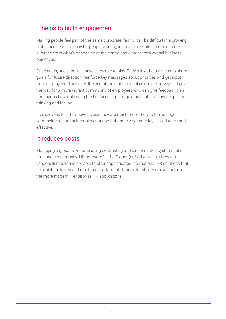## It helps to build engagement

Making people feel part of the same corporate 'family' can be difficult in a growing, global business. It's easy for people working in smaller remote locations to feel divorced from what's happening at the centre and distant from overall business objectives.

Once again, social portals have a key role to play. They allow the business to share goals for future direction, reinforce key messages about priorities and get input from employees. They spell the end of the static annual employee survey and pave the way for a more vibrant community of employees who can give feedback on a continuous basis, allowing the business to get regular insight into how people are thinking and feeling.

If employees feel they have a voice they are much more likely to feel engaged with their role and their employer and will ultimately be more loyal, productive and effective.

#### It reduces costs

Managing a global workforce using contrasting and disconnected systems takes time and costs money. HR software "in the Cloud" (or Software as a Service) vendors like Cezanne are able to offer sophisticated international HR solutions that are quick to deploy and much more affordable than older-style – or even some of the more modern – enterprise HR applications.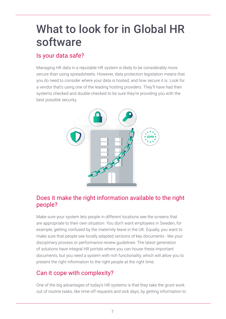## What to look for in Global HR software

## Is your data safe?

Managing HR data in a reputable HR system is likely to be considerably more secure than using spreadsheets. However, data protection legislation means that you do need to consider where your data is hosted, and how secure it is. Look for a vendor that's using one of the leading hosting providers. They'll have had their systems checked and double-checked to be sure they're providing you with the best possible security.



### Does it make the right information available to the right people?

Make sure your system lets people in different locations see the screens that are appropriate to their own situation. You don't want employees in Sweden, for example, getting confused by the maternity leave in the UK. Equally, you want to make sure that people see locally adapted versions of key documents - like your disciplinary process or performance review guidelines. The latest generation of solutions have integral HR portals where you can house these important documents, but you need a system with rich functionality, which will allow you to present the right information to the right people at the right time.

## Can it cope with complexity?

One of the big advantages of today's HR systems is that they take the grunt work out of routine tasks, like time-off requests and sick days, by getting information to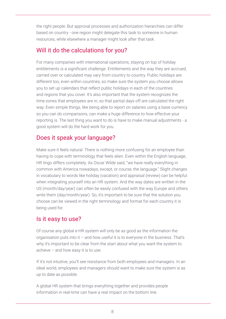the right people. But approval processes and authorization hierarchies can differ based on country - one region might delegate this task to someone in human resources, while elsewhere a manager might look after that task.

## Will it do the calculations for you?

For many companies with international operations, staying on top of holiday entitlements is a significant challenge. Entitlements and the way they are accrued, carried over or calculated may vary from country to country. Public holidays are different too, even within countries, so make sure the system you choose allows you to set up calendars that reflect public holidays in each of the countries and regions that you cover. It's also important that the system recognizes the time-zones that employees are in, so that partial days off are calculated the right way. Even simple things, like being able to report on salaries using a base currency so you can do comparisons, can make a huge difference to how effective your reporting is. The last thing you want to do is have to make manual adjustments - a good system will do the hard work for you.

## Does it speak your language?

Make sure it feels natural. There is nothing more confusing for an employee than having to cope with terminology that feels alien. Even within the English language, HR lingo differs completely. As Oscar Wilde said, "we have really everything in common with America nowadays, except, or course, the language." Slight changes in vocabulary to words like holiday (vacation) and appraisal (review) can be helpful when integrating yourself into an HR system. And the way dates are written in the US (month/day/year) can often be easily confused with the way Europe and others write them (day/month/year). So, it's important to be sure that the solution you choose can be viewed in the right terminology and format for each country it is being used for.

## Is it easy to use?

Of course any global e-HR system will only be as good as the information the organisation puts into it  $-$  and how useful it is to everyone in the business. That's why it's important to be clear from the start about what you want the system to achieve – and how easy it is to use.

If it's not intuitive, you'll see resistance from both employees and managers. In an ideal world, employees and managers should want to make sure the system is as up to date as possible.

A global HR system that brings everything together and provides people information in real-time can have a real impact on the bottom line.